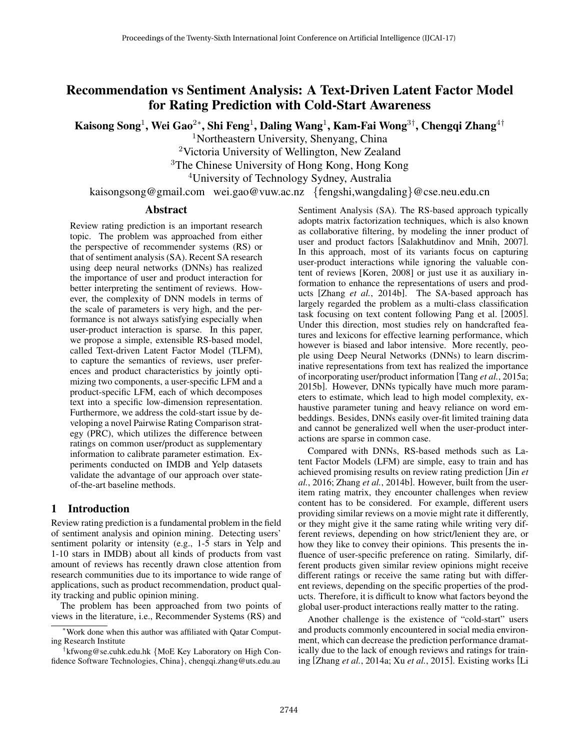# Recommendation vs Sentiment Analysis: A Text-Driven Latent Factor Model for Rating Prediction with Cold-Start Awareness

Kaisong Song<sup>1</sup> , Wei Gao<sup>2</sup>*<sup>∗</sup>* , Shi Feng<sup>1</sup> , Daling Wang<sup>1</sup> , Kam-Fai Wong<sup>3</sup>*†* , Chengqi Zhang<sup>4</sup>*†*

<sup>1</sup>Northeastern University, Shenyang, China

<sup>2</sup>Victoria University of Wellington, New Zealand

<sup>3</sup>The Chinese University of Hong Kong, Hong Kong

<sup>4</sup>University of Technology Sydney, Australia

kaisongsong@gmail.com wei.gao@vuw.ac.nz *{*fengshi,wangdaling*}*@cse.neu.edu.cn

### Abstract

Review rating prediction is an important research topic. The problem was approached from either the perspective of recommender systems (RS) or that of sentiment analysis (SA). Recent SA research using deep neural networks (DNNs) has realized the importance of user and product interaction for better interpreting the sentiment of reviews. However, the complexity of DNN models in terms of the scale of parameters is very high, and the performance is not always satisfying especially when user-product interaction is sparse. In this paper, we propose a simple, extensible RS-based model, called Text-driven Latent Factor Model (TLFM), to capture the semantics of reviews, user preferences and product characteristics by jointly optimizing two components, a user-specific LFM and a product-specific LFM, each of which decomposes text into a specific low-dimension representation. Furthermore, we address the cold-start issue by developing a novel Pairwise Rating Comparison strategy (PRC), which utilizes the difference between ratings on common user/product as supplementary information to calibrate parameter estimation. Experiments conducted on IMDB and Yelp datasets validate the advantage of our approach over stateof-the-art baseline methods.

## 1 Introduction

Review rating prediction is a fundamental problem in the field of sentiment analysis and opinion mining. Detecting users' sentiment polarity or intensity (e.g., 1-5 stars in Yelp and 1-10 stars in IMDB) about all kinds of products from vast amount of reviews has recently drawn close attention from research communities due to its importance to wide range of applications, such as product recommendation, product quality tracking and public opinion mining.

The problem has been approached from two points of views in the literature, i.e., Recommender Systems (RS) and

Sentiment Analysis (SA). The RS-based approach typically adopts matrix factorization techniques, which is also known as collaborative filtering, by modeling the inner product of user and product factors [Salakhutdinov and Mnih, 2007]. In this approach, most of its variants focus on capturing user-product interactions while ignoring the valuable content of reviews [Koren, 2008] or just use it as auxiliary information to enhance the representations of users and products [Zhang *et al.*, 2014b]. The SA-based approach has largely regarded the problem as a multi-class classification task focusing on text content following Pang et al. [2005]. Under this direction, most studies rely on handcrafted features and lexicons for effective learning performance, which however is biased and labor intensive. More recently, people using Deep Neural Networks (DNNs) to learn discriminative representations from text has realized the importance of incorporating user/product information [Tang *et al.*, 2015a; 2015b]. However, DNNs typically have much more parameters to estimate, which lead to high model complexity, exhaustive parameter tuning and heavy reliance on word embeddings. Besides, DNNs easily over-fit limited training data and cannot be generalized well when the user-product interactions are sparse in common case.

Compared with DNNs, RS-based methods such as Latent Factor Models (LFM) are simple, easy to train and has achieved promising results on review rating prediction [Jin *et al.*, 2016; Zhang *et al.*, 2014b]. However, built from the useritem rating matrix, they encounter challenges when review content has to be considered. For example, different users providing similar reviews on a movie might rate it differently, or they might give it the same rating while writing very different reviews, depending on how strict/lenient they are, or how they like to convey their opinions. This presents the influence of user-specific preference on rating. Similarly, different products given similar review opinions might receive different ratings or receive the same rating but with different reviews, depending on the specific properties of the products. Therefore, it is difficult to know what factors beyond the global user-product interactions really matter to the rating.

Another challenge is the existence of "cold-start" users and products commonly encountered in social media environment, which can decrease the prediction performance dramatically due to the lack of enough reviews and ratings for training [Zhang *et al.*, 2014a; Xu *et al.*, 2015]. Existing works [Li

*<sup>∗</sup>*Work done when this author was affiliated with Qatar Computing Research Institute

*<sup>†</sup>* kfwong@se.cuhk.edu.hk *{*MoE Key Laboratory on High Confidence Software Technologies, China*}*, chengqi.zhang@uts.edu.au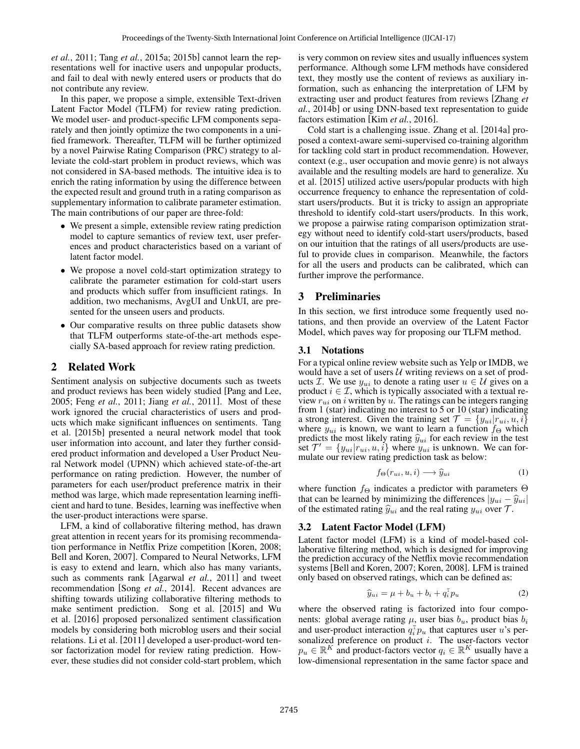*et al.*, 2011; Tang *et al.*, 2015a; 2015b] cannot learn the representations well for inactive users and unpopular products, and fail to deal with newly entered users or products that do not contribute any review.

In this paper, we propose a simple, extensible Text-driven Latent Factor Model (TLFM) for review rating prediction. We model user- and product-specific LFM components separately and then jointly optimize the two components in a unified framework. Thereafter, TLFM will be further optimized by a novel Pairwise Rating Comparison (PRC) strategy to alleviate the cold-start problem in product reviews, which was not considered in SA-based methods. The intuitive idea is to enrich the rating information by using the difference between the expected result and ground truth in a rating comparison as supplementary information to calibrate parameter estimation. The main contributions of our paper are three-fold:

- *•* We present a simple, extensible review rating prediction model to capture semantics of review text, user preferences and product characteristics based on a variant of latent factor model.
- *•* We propose a novel cold-start optimization strategy to calibrate the parameter estimation for cold-start users and products which suffer from insufficient ratings. In addition, two mechanisms, AvgUI and UnkUI, are presented for the unseen users and products.
- *•* Our comparative results on three public datasets show that TLFM outperforms state-of-the-art methods especially SA-based approach for review rating prediction.

## 2 Related Work

Sentiment analysis on subjective documents such as tweets and product reviews has been widely studied [Pang and Lee, 2005; Feng *et al.*, 2011; Jiang *et al.*, 2011]. Most of these work ignored the crucial characteristics of users and products which make significant influences on sentiments. Tang et al. [2015b] presented a neural network model that took user information into account, and later they further considered product information and developed a User Product Neural Network model (UPNN) which achieved state-of-the-art performance on rating prediction. However, the number of parameters for each user/product preference matrix in their method was large, which made representation learning inefficient and hard to tune. Besides, learning was ineffective when the user-product interactions were sparse.

LFM, a kind of collaborative filtering method, has drawn great attention in recent years for its promising recommendation performance in Netflix Prize competition [Koren, 2008; Bell and Koren, 2007]. Compared to Neural Networks, LFM is easy to extend and learn, which also has many variants, such as comments rank [Agarwal *et al.*, 2011] and tweet recommendation [Song *et al.*, 2014]. Recent advances are shifting towards utilizing collaborative filtering methods to make sentiment prediction. Song et al. [2015] and Wu et al. [2016] proposed personalized sentiment classification models by considering both microblog users and their social relations. Li et al. [2011] developed a user-product-word tensor factorization model for review rating prediction. However, these studies did not consider cold-start problem, which is very common on review sites and usually influences system performance. Although some LFM methods have considered text, they mostly use the content of reviews as auxiliary information, such as enhancing the interpretation of LFM by extracting user and product features from reviews [Zhang *et al.*, 2014b] or using DNN-based text representation to guide factors estimation [Kim *et al.*, 2016].

Cold start is a challenging issue. Zhang et al. [2014a] proposed a context-aware semi-supervised co-training algorithm for tackling cold start in product recommendation. However, context (e.g., user occupation and movie genre) is not always available and the resulting models are hard to generalize. Xu et al. [2015] utilized active users/popular products with high occurrence frequency to enhance the representation of coldstart users/products. But it is tricky to assign an appropriate threshold to identify cold-start users/products. In this work, we propose a pairwise rating comparison optimization strategy without need to identify cold-start users/products, based on our intuition that the ratings of all users/products are useful to provide clues in comparison. Meanwhile, the factors for all the users and products can be calibrated, which can further improve the performance.

## 3 Preliminaries

In this section, we first introduce some frequently used notations, and then provide an overview of the Latent Factor Model, which paves way for proposing our TLFM method.

### 3.1 Notations

For a typical online review website such as Yelp or IMDB, we would have a set of users *U* writing reviews on a set of products *I*. We use  $y_{ui}$  to denote a rating user  $u \in U$  gives on a product  $i \in \mathcal{I}$ , which is typically associated with a textual review *rui* on *i* written by *u*. The ratings can be integers ranging from 1 (star) indicating no interest to 5 or 10 (star) indicating a strong interest. Given the training set  $\mathcal{T} = \{y_{ui}|r_{ui}, u, i\}$ where  $y_{ui}$  is known, we want to learn a function  $f_{\Theta}$  which predicts the most likely rating  $\hat{y}_{ui}$  for each review in the test set  $\mathcal{T}' = \{y_{ui}|r_{ui}, u, i\}$  where  $y_{ui}$  is unknown. We can formulate our review rating prediction task as below:

$$
f_{\Theta}(r_{ui}, u, i) \longrightarrow \hat{y}_{ui} \tag{1}
$$

where function  $f_{\Theta}$  indicates a predictor with parameters  $\Theta$ that can be learned by minimizing the differences  $|y_{ui} - \hat{y}_{ui}|$ of the estimated rating  $\hat{y}_{ui}$  and the real rating  $y_{ui}$  over  $\mathcal{T}$ .

#### 3.2 Latent Factor Model (LFM)

Latent factor model (LFM) is a kind of model-based collaborative filtering method, which is designed for improving the prediction accuracy of the Netflix movie recommendation systems [Bell and Koren, 2007; Koren, 2008]. LFM is trained only based on observed ratings, which can be defined as:

$$
\widehat{y}_{ui} = \mu + b_u + b_i + q_i^{\mathrm{T}} p_u \tag{2}
$$

where the observed rating is factorized into four components: global average rating  $\mu$ , user bias  $b_u$ , product bias  $b_i$ and user-product interaction  $q_i^T p_u$  that captures user *u*'s personalized preference on product *i*. The user-factors vector  $p_u \in \mathbb{R}^K$  and product-factors vector  $q_i \in \mathbb{R}^K$  usually have a low-dimensional representation in the same factor space and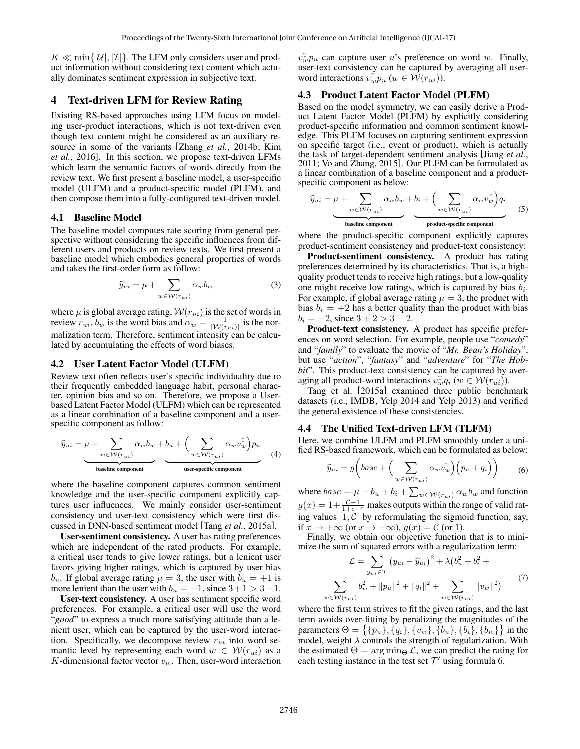$K \ll \min\{|U|, |U|\}$ . The LFM only considers user and product information without considering text content which actually dominates sentiment expression in subjective text.

## 4 Text-driven LFM for Review Rating

Existing RS-based approaches using LFM focus on modeling user-product interactions, which is not text-driven even though text content might be considered as an auxiliary resource in some of the variants [Zhang *et al.*, 2014b; Kim *et al.*, 2016]. In this section, we propose text-driven LFMs which learn the semantic factors of words directly from the review text. We first present a baseline model, a user-specific model (ULFM) and a product-specific model (PLFM), and then compose them into a fully-configured text-driven model.

### 4.1 Baseline Model

The baseline model computes rate scoring from general perspective without considering the specific influences from different users and products on review texts. We first present a baseline model which embodies general properties of words and takes the first-order form as follow:

$$
\widehat{y}_{ui} = \mu + \sum_{w \in \mathcal{W}(r_{ui})} \alpha_w b_w \tag{3}
$$

where  $\mu$  is global average rating,  $W(r_{ui})$  is the set of words in review  $r_{ui}$ ,  $b_w$  is the word bias and  $\alpha_w = \frac{1}{|W(r_{ui})|}$  is the normalization term. Therefore, sentiment intensity can be calculated by accumulating the effects of word biases.

#### 4.2 User Latent Factor Model (ULFM)

Review text often reflects user's specific individuality due to their frequently embedded language habit, personal character, opinion bias and so on. Therefore, we propose a Userbased Latent Factor Model (ULFM) which can be represented as a linear combination of a baseline component and a userspecific component as follow:

$$
\widehat{y}_{ui} = \mu + \sum_{w \in \mathcal{W}(r_{ui})} \alpha_w b_w + b_u + \Big( \sum_{w \in \mathcal{W}(r_{ui})} \alpha_w v_w^{\mathsf{T}} \Big) p_u
$$
\nbaseline component

\nuser-specific component

where the baseline component captures common sentiment knowledge and the user-specific component explicitly captures user influences. We mainly consider user-sentiment consistency and user-text consistency which were first discussed in DNN-based sentiment model [Tang *et al.*, 2015a].

User-sentiment consistency. A user has rating preferences which are independent of the rated products. For example, a critical user tends to give lower ratings, but a lenient user favors giving higher ratings, which is captured by user bias  $b<sub>u</sub>$ . If global average rating  $\mu = 3$ , the user with  $b<sub>u</sub> = +1$  is more lenient than the user with  $b_u = -1$ , since  $3+1 > 3-1$ .

User-text consistency. A user has sentiment specific word preferences. For example, a critical user will use the word '*good*" to express a much more satisfying attitude than a lenient user, which can be captured by the user-word interaction. Specifically, we decompose review  $r_{ui}$  into word semantic level by representing each word  $w \in \mathcal{W}(r_{ui})$  as a *K*-dimensional factor vector  $v_w$ . Then, user-word interaction

 $v_w^T p_u$  can capture user *u*'s preference on word *w*. Finally, user-text consistency can be captured by averaging all userword interactions  $v_w^{\text{T}} p_u$  ( $w \in \mathcal{W}(r_{ui})$ ).

#### 4.3 Product Latent Factor Model (PLFM)

Based on the model symmetry, we can easily derive a Product Latent Factor Model (PLFM) by explicitly considering product-specific information and common sentiment knowledge. This PLFM focuses on capturing sentiment expression on specific target (i.e., event or product), which is actually the task of target-dependent sentiment analysis [Jiang *et al.*, 2011; Vo and Zhang, 2015]. Our PLFM can be formulated as a linear combination of a baseline component and a productspecific component as below:

$$
\widehat{y}_{ui} = \mu + \sum_{w \in \mathcal{W}(r_{ui})} \alpha_w b_w + b_i + \left(\sum_{w \in \mathcal{W}(r_{ui})} \alpha_w v_w^{\mathrm{T}}\right) q_i
$$
\nbaseline component

\nproduct-specific component

where the product-specific component explicitly captures product-sentiment consistency and product-text consistency:

Product-sentiment consistency. A product has rating preferences determined by its characteristics. That is, a highquality product tends to receive high ratings, but a low-quality one might receive low ratings, which is captured by bias *b<sup>i</sup>* . For example, if global average rating  $\mu = 3$ , the product with bias  $b_i = +2$  has a better quality than the product with bias  $b_i = -2$ , since  $3 + 2 > 3 - 2$ .

Product-text consistency. A product has specific preferences on word selection. For example, people use "*comedy*" and "*family*" to evaluate the movie of "*Mr. Bean's Holiday*", but use "*action*", "*fantasy*" and "*adventure*" for "*The Hobbit*". This product-text consistency can be captured by averaging all product-word interactions  $v_w^{\text{T}} q_i$  ( $w \in \mathcal{W}(r_{ui})$ ).

Tang et al. [2015a] examined three public benchmark datasets (i.e., IMDB, Yelp 2014 and Yelp 2013) and verified the general existence of these consistencies.

### 4.4 The Unified Text-driven LFM (TLFM)

Here, we combine ULFM and PLFM smoothly under a unified RS-based framework, which can be formulated as below:

$$
\widehat{y}_{ui} = g\bigg(base + \Big(\sum_{w \in \mathcal{W}(r_{ui})} \alpha_w v_w^{\mathrm{T}}\Big) \Big(p_u + q_i\Big)\bigg) \tag{6}
$$

where  $base = \mu + b_u + b_i + \sum_{w \in \mathcal{W}(r_{ui})} \alpha_w b_w$  and function  $g(x) = 1 + \frac{C - 1}{1 + e^{-x}}$  makes outputs within the range of valid rating values  $[1, C]$  by reformulating the sigmoid function, say, if  $x \to +\infty$  (or  $x \to -\infty$ ),  $g(x) = C$  (or 1).

Finally, we obtain our objective function that is to minimize the sum of squared errors with a regularization term:

$$
\mathcal{L} = \sum_{y_{ui} \in \mathcal{T}} (y_{ui} - \widehat{y}_{ui})^2 + \lambda (b_u^2 + b_i^2 + \sum_{w \in \mathcal{W}(r_{ui})} b_w^2 + ||p_u||^2 + ||q_i||^2 + \sum_{w \in \mathcal{W}(r_{ui})} ||v_w||^2)
$$
(7)

where the first term strives to fit the given ratings, and the last term avoids over-fitting by penalizing the magnitudes of the parameters  $\Theta = \{ \{p_u\}, \{q_i\}, \{v_w\}, \{b_u\}, \{b_i\}, \{b_w\} \}$  in the model, weight  $\lambda$  controls the strength of regularization. With the estimated  $\Theta = \arg \min_{\Theta} \mathcal{L}$ , we can predict the rating for each testing instance in the test set  $\mathcal{T}'$  using formula 6.

*w∈*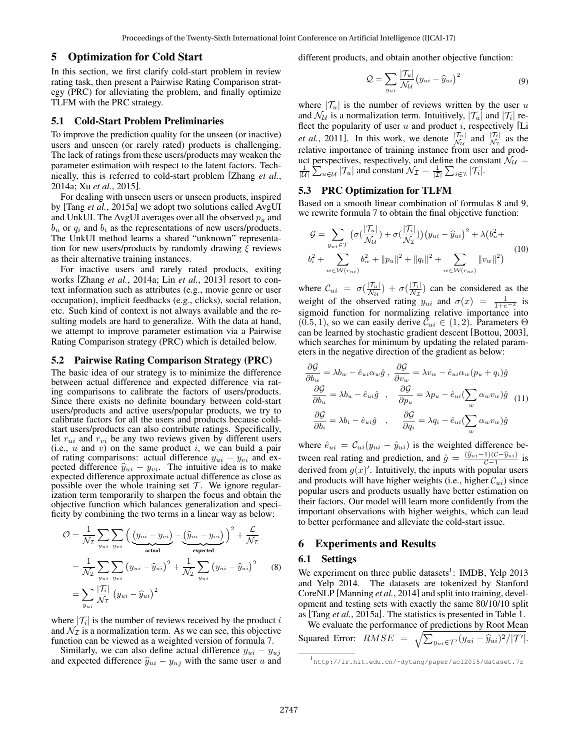## 5 Optimization for Cold Start

In this section, we first clarify cold-start problem in review rating task, then present a Pairwise Rating Comparison strategy (PRC) for alleviating the problem, and finally optimize TLFM with the PRC strategy.

#### 5.1 Cold-Start Problem Preliminaries

To improve the prediction quality for the unseen (or inactive) users and unseen (or rarely rated) products is challenging. The lack of ratings from these users/products may weaken the parameter estimation with respect to the latent factors. Technically, this is referred to cold-start problem [Zhang *et al.*, 2014a; Xu *et al.*, 2015].

For dealing with unseen users or unseen products, inspired by [Tang *et al.*, 2015a] we adopt two solutions called AvgUI and UnkUI. The AvgUI averages over all the observed *p<sup>u</sup>* and  $b<sub>u</sub>$  or  $q<sub>i</sub>$  and  $b<sub>i</sub>$  as the representations of new users/products. The UnkUI method learns a shared "unknown" representation for new users/products by randomly drawing *ξ* reviews as their alternative training instances.

For inactive users and rarely rated products, exiting works [Zhang *et al.*, 2014a; Lin *et al.*, 2013] resort to context information such as attributes (e.g., movie genre or user occupation), implicit feedbacks (e.g., clicks), social relation, etc. Such kind of context is not always available and the resulting models are hard to generalize. With the data at hand, we attempt to improve parameter estimation via a Pairwise Rating Comparison strategy (PRC) which is detailed below.

### 5.2 Pairwise Rating Comparison Strategy (PRC)

The basic idea of our strategy is to minimize the difference between actual difference and expected difference via rating comparisons to calibrate the factors of users/products. Since there exists no definite boundary between cold-start users/products and active users/popular products, we try to calibrate factors for all the users and products because coldstart users/products can also contribute ratings. Specifically, let *rui* and *rvi* be any two reviews given by different users (i.e., *u* and *v*) on the same product *i*, we can build a pair of rating comparisons: actual difference *yui − yvi* and expected difference  $\hat{y}_{ui} - y_{vi}$ . The intuitive idea is to make expected difference approximate actual difference as close as possible over the whole training set  $\mathcal T$ . We ignore regularization term temporarily to sharpen the focus and obtain the objective function which balances generalization and specificity by combining the two terms in a linear way as below:

$$
\mathcal{O} = \frac{1}{\mathcal{N}_{\mathcal{I}}} \sum_{y_{ui}} \sum_{y_{vi}} \left( \underbrace{(y_{ui} - y_{vi})}_{\text{actual}} - \underbrace{(\widehat{y}_{ui} - y_{vi})}_{\text{expected}} \right)^2 + \frac{\mathcal{L}}{\mathcal{N}_{\mathcal{I}}} \n= \frac{1}{\mathcal{N}_{\mathcal{I}}} \sum_{y_{ui}} \sum_{y_{vi}} (y_{ui} - \widehat{y}_{ui})^2 + \frac{1}{\mathcal{N}_{\mathcal{I}}} \sum_{y_{ui}} (y_{ui} - \widehat{y}_{ui})^2 \qquad (8) \n= \sum_{y_{ui}} \frac{|\mathcal{T}_i|}{\mathcal{N}_{\mathcal{I}}} (y_{ui} - \widehat{y}_{ui})^2
$$

where  $|\mathcal{T}_i|$  is the number of reviews received by the product *i* and  $\mathcal{N}_{\mathcal{I}}$  is a normalization term. As we can see, this objective function can be viewed as a weighted version of formula 7.

Similarly, we can also define actual difference  $y_{ui} - y_{ui}$ and expected difference  $\hat{y}_{ui} - y_{uj}$  with the same user *u* and different products, and obtain another objective function:

$$
\mathcal{Q} = \sum_{y_{ui}} \frac{|\mathcal{T}_u|}{\mathcal{N}_\mathcal{U}} (y_{ui} - \widehat{y}_{ui})^2
$$
(9)

where  $|\mathcal{T}_u|$  is the number of reviews written by the user *u* and  $\mathcal{N}_U$  is a normalization term. Intuitively,  $|\mathcal{T}_u|$  and  $|\mathcal{T}_i|$  reflect the popularity of user *u* and product *i*, respectively [Li *et al.*, 2011]. In this work, we denote  $\frac{|I_u|}{N_{11}}$  and  $\frac{|I_i|}{N_{12}}$  as the relative importance of training instance from user and product perspectives, respectively, and define the constant  $\mathcal{N}_U$ 1  $\frac{1}{|\mathcal{U}|} \sum_{u \in \mathcal{U}} |\mathcal{T}_u|$  and constant  $\mathcal{N}_{\mathcal{I}} = \frac{1}{|\mathcal{I}|}$  $\frac{1}{|\mathcal{I}|}\sum_{i\in\mathcal{I}}|\mathcal{T}_i|$ .

### 5.3 PRC Optimization for TLFM

Based on a smooth linear combination of formulas 8 and 9, we rewrite formula 7 to obtain the final objective function:

$$
\mathcal{G} = \sum_{y_{ui} \in \mathcal{T}} \left( \sigma \left( \frac{|\mathcal{T}_u|}{\mathcal{N}_u} \right) + \sigma \left( \frac{|\mathcal{T}_i|}{\mathcal{N}_x} \right) \right) \left( y_{ui} - \hat{y}_{ui} \right)^2 + \lambda \left( b_u^2 + b_u^2 + \sum_{w \in \mathcal{W}(r_{ui})} b_w^2 + ||p_u||^2 + ||q_i||^2 + \sum_{w \in \mathcal{W}(r_{ui})} ||v_w||^2 \right)
$$
\n(10)

where  $\mathcal{C}_{ui} = \sigma \left( \frac{|I_u|}{\sqrt{U_u}} \right)$  $\frac{|V_u|}{N_u}$ ) +  $\sigma(\frac{|V_i|}{N_{\mathcal{I}}}$  $\frac{|I_i|}{N_{\mathcal{I}}}$  can be considered as the weight of the observed rating  $y_{ui}$  and  $\sigma(x) = \frac{1}{1+e^{-x}}$  is sigmoid function for normalizing relative importance into  $(0.5, 1)$ , so we can easily derive  $\tilde{\mathcal{C}}_{ui} \in (1, 2)$ . Parameters  $\Theta$ can be learned by stochastic gradient descent [Bottou, 2003], which searches for minimum by updating the related parameters in the negative direction of the gradient as below:

$$
\frac{\partial \mathcal{G}}{\partial b_w} = \lambda b_w - \hat{e}_{ui} \alpha_w \hat{g} , \frac{\partial \mathcal{G}}{\partial v_w} = \lambda v_w - \hat{e}_{ui} \alpha_w (p_u + q_i) \hat{g}
$$

$$
\frac{\partial \mathcal{G}}{\partial b_u} = \lambda b_u - \hat{e}_{ui} \hat{g} , \frac{\partial \mathcal{G}}{\partial p_u} = \lambda p_u - \hat{e}_{ui} (\sum_w \alpha_w v_w) \hat{g} \quad (11)
$$

$$
\frac{\partial \mathcal{G}}{\partial b_i} = \lambda b_i - \hat{e}_{ui} \hat{g} , \frac{\partial \mathcal{G}}{\partial q_i} = \lambda q_i - \hat{e}_{ui} (\sum_w \alpha_w v_w) \hat{g}
$$

where  $\hat{e}_{ui} = C_{ui}(y_{ui} - \hat{y}_{ui})$  is the weighted difference between real rating and prediction, and  $\hat{g} = \frac{(\hat{y}_{ui}-1)(\mathcal{C}-\hat{y}_{ui})}{\mathcal{C}-1}$  is derived from  $g(x)'$ . Intuitively, the inputs with popular users and products will have higher weights (i.e., higher  $C_{ui}$ ) since popular users and products usually have better estimation on their factors. Our model will learn more confidently from the important observations with higher weights, which can lead to better performance and alleviate the cold-start issue.

#### 6 Experiments and Results

#### 6.1 Settings

We experiment on three public datasets<sup>1</sup>: IMDB, Yelp 2013 and Yelp 2014. The datasets are tokenized by Stanford CoreNLP [Manning *et al.*, 2014] and split into training, development and testing sets with exactly the same 80/10/10 split as [Tang *et al.*, 2015a]. The statistics is presented in Table 1.

We evaluate the performance of predictions by Root Mean Squared Error:  $RMSE = \sqrt{\sum_{y_{ui} \in \mathcal{T}'} (y_{ui} - \widehat{y}_{ui})^2 / |\mathcal{T}'|}.$ 

<sup>1</sup> http://ir.hit.edu.cn/˜dytang/paper/acl2015/dataset.7z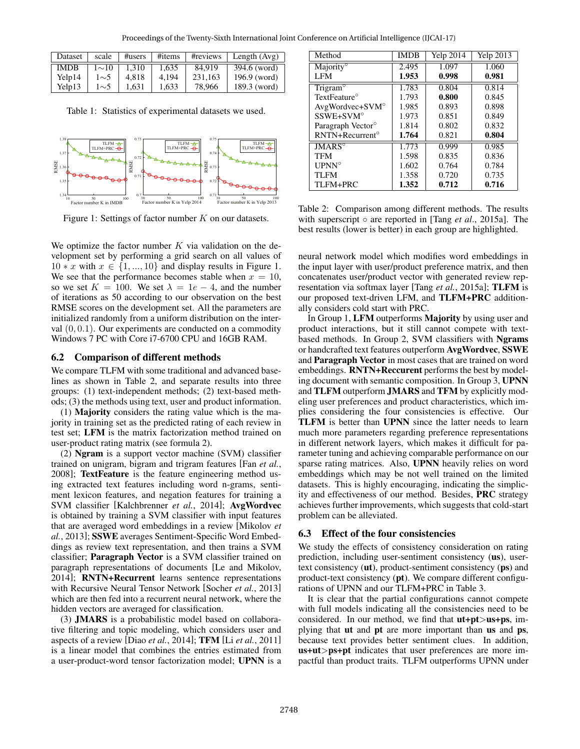| Dataset     | scale       | #users | #items | #reviews | Length $(Avg)$ |
|-------------|-------------|--------|--------|----------|----------------|
| <b>IMDB</b> | $1 \sim 10$ | 1.310  | 1.635  | 84.919   | 394.6 (word)   |
| Yelp14      | $1\sim$ 5   | 4.818  | 4.194  | 231.163  | $196.9$ (word) |
| Yelp13      | $1\sim$ 5   | 1.631  | 1.633  | 78,966   | 189.3 (word)   |

Table 1: Statistics of experimental datasets we used.



Figure 1: Settings of factor number *K* on our datasets.

We optimize the factor number *K* via validation on the development set by performing a grid search on all values of  $10 * x$  with  $x \in \{1, ..., 10\}$  and display results in Figure 1. We see that the performance becomes stable when  $x = 10$ , so we set  $K = 100$ . We set  $\lambda = 1e - 4$ , and the number of iterations as 50 according to our observation on the best RMSE scores on the development set. All the parameters are initialized randomly from a uniform distribution on the interval (0*,* 0*.*1). Our experiments are conducted on a commodity Windows 7 PC with Core i7-6700 CPU and 16GB RAM.

#### 6.2 Comparison of different methods

We compare TLFM with some traditional and advanced baselines as shown in Table 2, and separate results into three groups: (1) text-independent methods; (2) text-based methods; (3) the methods using text, user and product information.

(1) Majority considers the rating value which is the majority in training set as the predicted rating of each review in test set; LFM is the matrix factorization method trained on user-product rating matrix (see formula 2).

(2) Ngram is a support vector machine (SVM) classifier trained on unigram, bigram and trigram features [Fan *et al.*, 2008]; TextFeature is the feature engineering method using extracted text features including word n-grams, sentiment lexicon features, and negation features for training a SVM classifier [Kalchbrenner *et al.*, 2014]; AvgWordvec is obtained by training a SVM classifier with input features that are averaged word embeddings in a review [Mikolov *et al.*, 2013]; SSWE averages Sentiment-Specific Word Embeddings as review text representation, and then trains a SVM classifier; Paragraph Vector is a SVM classifier trained on paragraph representations of documents [Le and Mikolov, 2014]; RNTN+Recurrent learns sentence representations with Recursive Neural Tensor Network [Socher *et al.*, 2013] which are then fed into a recurrent neural network, where the hidden vectors are averaged for classification.

(3) JMARS is a probabilistic model based on collaborative filtering and topic modeling, which considers user and aspects of a review [Diao *et al.*, 2014]; TFM [Li *et al.*, 2011] is a linear model that combines the entries estimated from a user-product-word tensor factorization model; UPNN is a

| Method                        | <b>IMDB</b> | Yelp 2014 | <b>Yelp 2013</b> |
|-------------------------------|-------------|-----------|------------------|
| Majority <sup>o</sup>         | 2.495       | 1.097     | 1.060            |
| <b>LFM</b>                    | 1.953       | 0.998     | 0.981            |
| Trigram <sup>o</sup>          | 1.783       | 0.804     | 0.814            |
| TextFeature <sup>o</sup>      | 1.793       | 0.800     | 0.845            |
| AvgWordvec+SVM°               | 1.985       | 0.893     | 0.898            |
| $SSWE+SVM^{\circ}$            | 1.973       | 0.851     | 0.849            |
| Paragraph Vector <sup>o</sup> | 1.814       | 0.802     | 0.832            |
| $RNTN+Recurrent^{\circ}$      | 1.764       | 0.821     | 0.804            |
| $JMARK^{\circ}$               | 1.773       | 0.999     | 0.985            |
| <b>TFM</b>                    | 1.598       | 0.835     | 0.836            |
| $UPNN^{\circ}$                | 1.602       | 0.764     | 0.784            |
| <b>TLFM</b>                   | 1.358       | 0.720     | 0.735            |
| TLFM+PRC                      | 1.352       | 0.712     | 0.716            |

Table 2: Comparison among different methods. The results with superscript *◦* are reported in [Tang *et al*., 2015a]. The best results (lower is better) in each group are highlighted.

neural network model which modifies word embeddings in the input layer with user/product preference matrix, and then concatenates user/product vector with generated review representation via softmax layer [Tang *et al.*, 2015a]; TLFM is our proposed text-driven LFM, and TLFM+PRC additionally considers cold start with PRC.

In Group 1, LFM outperforms Majority by using user and product interactions, but it still cannot compete with textbased methods. In Group 2, SVM classifiers with Ngrams or handcrafted text features outperform AvgWordvec, SSWE and Paragraph Vector in most cases that are trained on word embeddings. RNTN+Reccurent performs the best by modeling document with semantic composition. In Group 3, UPNN and TLFM outperform JMARS and TFM by explicitly modeling user preferences and product characteristics, which implies considering the four consistencies is effective. Our TLFM is better than UPNN since the latter needs to learn much more parameters regarding preference representations in different network layers, which makes it difficult for parameter tuning and achieving comparable performance on our sparse rating matrices. Also, UPNN heavily relies on word embeddings which may be not well trained on the limited datasets. This is highly encouraging, indicating the simplicity and effectiveness of our method. Besides, PRC strategy achieves further improvements, which suggests that cold-start problem can be alleviated.

#### 6.3 Effect of the four consistencies

We study the effects of consistency consideration on rating prediction, including user-sentiment consistency (us), usertext consistency (ut), product-sentiment consistency (ps) and product-text consistency (pt). We compare different configurations of UPNN and our TLFM+PRC in Table 3.

It is clear that the partial configurations cannot compete with full models indicating all the consistencies need to be considered. In our method, we find that ut+pt*>*us+ps, implying that ut and pt are more important than us and ps, because text provides better sentiment clues. In addition, us+ut*>*ps+pt indicates that user preferences are more impactful than product traits. TLFM outperforms UPNN under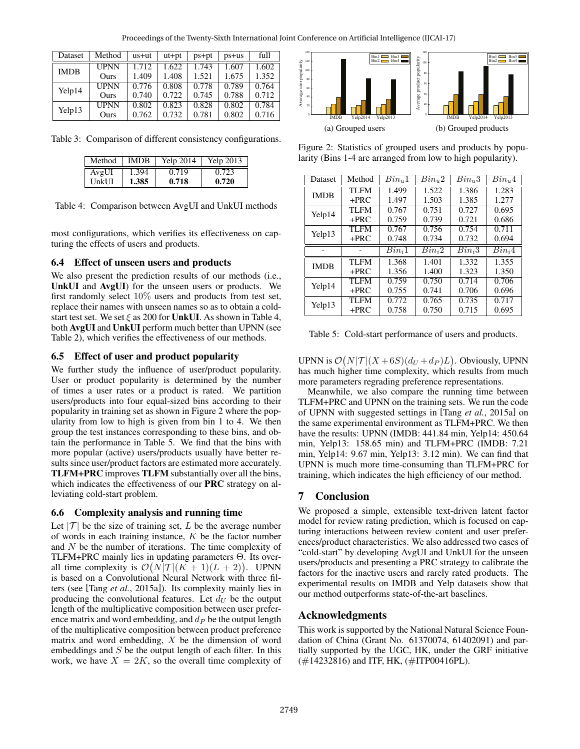| Dataset     | Method      | us+ut | $ut+pt$ | $ps+pt$ | $ps+us$ | full  |
|-------------|-------------|-------|---------|---------|---------|-------|
| <b>IMDB</b> | <b>UPNN</b> | 1.712 | 1.622   | 1.743   | 1.607   | 1.602 |
|             | Ours        | 1.409 | 1.408   | 1.521   | 1.675   | 1.352 |
|             | <b>UPNN</b> | 0.776 | 0.808   | 0.778   | 0.789   | 0.764 |
| Yelp14      | Ours        | 0.740 | 0.722   | 0.745   | 0.788   | 0.712 |
|             | <b>UPNN</b> | 0.802 | 0.823   | 0.828   | 0.802   | 0.784 |
| Yelp13      | Ours        | 0.762 | 0.732   | 0.781   | 0.802   | 0.716 |

Table 3: Comparison of different consistency configurations.

| Method | <b>IMDB</b> | <b>Yelp 2014</b> | <b>Yelp 2013</b> |
|--------|-------------|------------------|------------------|
| AvgUI  | 1.394       | 0.719            | 0.723            |
| UnkUI  | 1.385       | 0.718            | 0.720            |

Table 4: Comparison between AvgUI and UnkUI methods

most configurations, which verifies its effectiveness on capturing the effects of users and products.

## 6.4 Effect of unseen users and products

We also present the prediction results of our methods (i.e., UnkUI and AvgUI) for the unseen users or products. We first randomly select 10% users and products from test set, replace their names with unseen names so as to obtain a coldstart test set. We set  $\xi$  as 200 for UnkUI. As shown in Table 4, both AvgUI and UnkUI perform much better than UPNN (see Table 2), which verifies the effectiveness of our methods.

### 6.5 Effect of user and product popularity

We further study the influence of user/product popularity. User or product popularity is determined by the number of times a user rates or a product is rated. We partition users/products into four equal-sized bins according to their popularity in training set as shown in Figure 2 where the popularity from low to high is given from bin 1 to 4. We then group the test instances corresponding to these bins, and obtain the performance in Table 5. We find that the bins with more popular (active) users/products usually have better results since user/product factors are estimated more accurately. TLFM+PRC improves TLFM substantially over all the bins, which indicates the effectiveness of our **PRC** strategy on alleviating cold-start problem.

#### 6.6 Complexity analysis and running time

Let  $|T|$  be the size of training set, *L* be the average number of words in each training instance, *K* be the factor number and *N* be the number of iterations. The time complexity of TLFM+PRC mainly lies in updating parameters Θ. Its overall time complexity is  $\mathcal{O}(N|\mathcal{T}|(K+1)(L+2))$ . UPNN is based on a Convolutional Neural Network with three filters (see [Tang *et al.*, 2015a]). Its complexity mainly lies in producing the convolutional features. Let  $d_U$  be the output length of the multiplicative composition between user preference matrix and word embedding, and  $d<sub>P</sub>$  be the output length of the multiplicative composition between product preference matrix and word embedding, *X* be the dimension of word embeddings and *S* be the output length of each filter. In this work, we have  $X = 2K$ , so the overall time complexity of



Figure 2: Statistics of grouped users and products by popularity (Bins 1-4 are arranged from low to high popularity).

| Dataset     | Method      | $Bin_u 1$ | $\overline{Bin_u}$ 2 | $\overline{Bin}_u 3$ | $\overline{Bin_u4}$ |
|-------------|-------------|-----------|----------------------|----------------------|---------------------|
| <b>IMDB</b> | <b>TLFM</b> | 1.499     | 1.522                | 1.386                | 1.283               |
|             | $+PRC$      | 1.497     | 1.503                | 1.385                | 1.277               |
| Yelp14      | <b>TLFM</b> | 0.767     | 0.751                | 0.727                | 0.695               |
|             | $+PRC$      | 0.759     | 0.739                | 0.721                | 0.686               |
| Yelp13      | <b>TLFM</b> | 0.767     | 0.756                | 0.754                | 0.711               |
|             | $+PRC$      | 0.748     | 0.734                | 0.732                | 0.694               |
|             |             |           |                      |                      |                     |
|             |             | $Bin_i 1$ | $Bin_i 2$            | $Bin_i 3$            | $Bin_i 4$           |
|             | <b>TLFM</b> | 1.368     | 1.401                | 1.332                | 1.355               |
| <b>IMDB</b> | $+PRC$      | 1.356     | 1.400                | 1.323                | 1.350               |
|             | <b>TLFM</b> | 0.759     | 0.750                | 0.714                | 0.706               |
| Yelp14      | $+PRC$      | 0.755     | 0.741                | 0.706                | 0.696               |
| Yelp13      | <b>TLFM</b> | 0.772     | 0.765                | 0.735                | 0.717               |

Table 5: Cold-start performance of users and products.

UPNN is  $\mathcal{O}(N|\mathcal{T}|(X+6S)(d_U+d_P)L)$ . Obviously, UPNN has much higher time complexity, which results from much more parameters regrading preference representations.

Meanwhile, we also compare the running time between TLFM+PRC and UPNN on the training sets. We run the code of UPNN with suggested settings in [Tang *et al.*, 2015a] on the same experimental environment as TLFM+PRC. We then have the results: UPNN (IMDB: 441.84 min, Yelp14: 450.64 min, Yelp13: 158.65 min) and TLFM+PRC (IMDB: 7.21 min, Yelp14: 9.67 min, Yelp13: 3.12 min). We can find that UPNN is much more time-consuming than TLFM+PRC for training, which indicates the high efficiency of our method.

## 7 Conclusion

We proposed a simple, extensible text-driven latent factor model for review rating prediction, which is focused on capturing interactions between review content and user preferences/product characteristics. We also addressed two cases of "cold-start" by developing AvgUI and UnkUI for the unseen users/products and presenting a PRC strategy to calibrate the factors for the inactive users and rarely rated products. The experimental results on IMDB and Yelp datasets show that our method outperforms state-of-the-art baselines.

## Acknowledgments

This work is supported by the National Natural Science Foundation of China (Grant No. 61370074, 61402091) and partially supported by the UGC, HK, under the GRF initiative (#14232816) and ITF, HK, (#ITP00416PL).